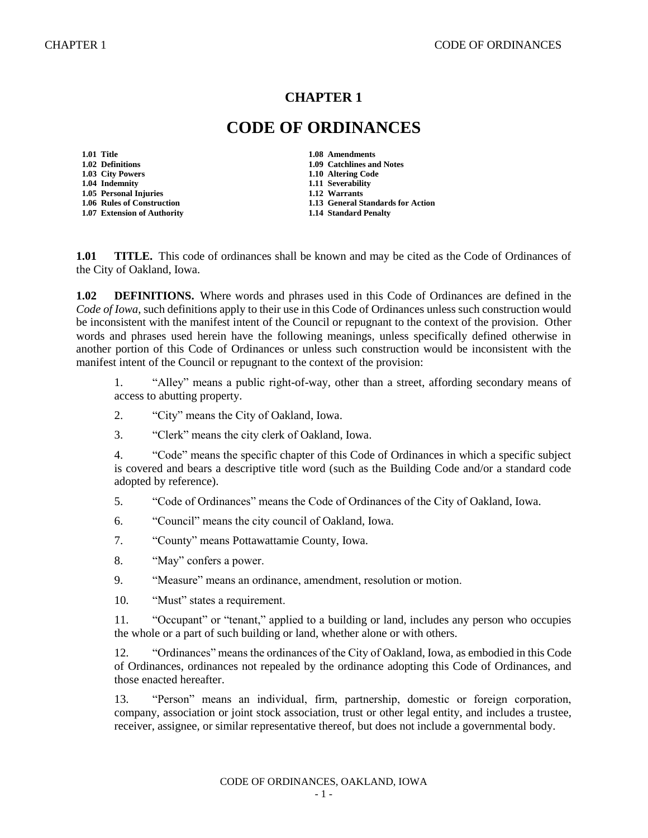## **CHAPTER 1**

## **CODE OF ORDINANCES**

**1.01 Title 1.08 Amendments 1.04 Indemnity 1.11 Severability 1.05 Personal Injuries** 

**1.02 Definitions 1.09 Catchlines and Notes 1.03 City Powers 1.10 Altering Code 1.03 City Powers 1.10 Altering Code 1.06 Rules of Construction 1.13 General Standards for Action 1.07 Extension of Authority 1.14 Standard Penalty**

**1.01 TITLE.** This code of ordinances shall be known and may be cited as the Code of Ordinances of the City of Oakland, Iowa.

**1.02 DEFINITIONS.** Where words and phrases used in this Code of Ordinances are defined in the *Code of Iowa*, such definitions apply to their use in this Code of Ordinances unless such construction would be inconsistent with the manifest intent of the Council or repugnant to the context of the provision. Other words and phrases used herein have the following meanings, unless specifically defined otherwise in another portion of this Code of Ordinances or unless such construction would be inconsistent with the manifest intent of the Council or repugnant to the context of the provision:

1. "Alley" means a public right-of-way, other than a street, affording secondary means of access to abutting property.

- 2. "City" means the City of Oakland, Iowa.
- 3. "Clerk" means the city clerk of Oakland, Iowa.

4. "Code" means the specific chapter of this Code of Ordinances in which a specific subject is covered and bears a descriptive title word (such as the Building Code and/or a standard code adopted by reference).

5. "Code of Ordinances" means the Code of Ordinances of the City of Oakland, Iowa.

- 6. "Council" means the city council of Oakland, Iowa.
- 7. "County" means Pottawattamie County, Iowa.
- 8. "May" confers a power.
- 9. "Measure" means an ordinance, amendment, resolution or motion.
- 10. "Must" states a requirement.

11. "Occupant" or "tenant," applied to a building or land, includes any person who occupies the whole or a part of such building or land, whether alone or with others.

12. "Ordinances" means the ordinances of the City of Oakland, Iowa, as embodied in this Code of Ordinances, ordinances not repealed by the ordinance adopting this Code of Ordinances, and those enacted hereafter.

13. "Person" means an individual, firm, partnership, domestic or foreign corporation, company, association or joint stock association, trust or other legal entity, and includes a trustee, receiver, assignee, or similar representative thereof, but does not include a governmental body.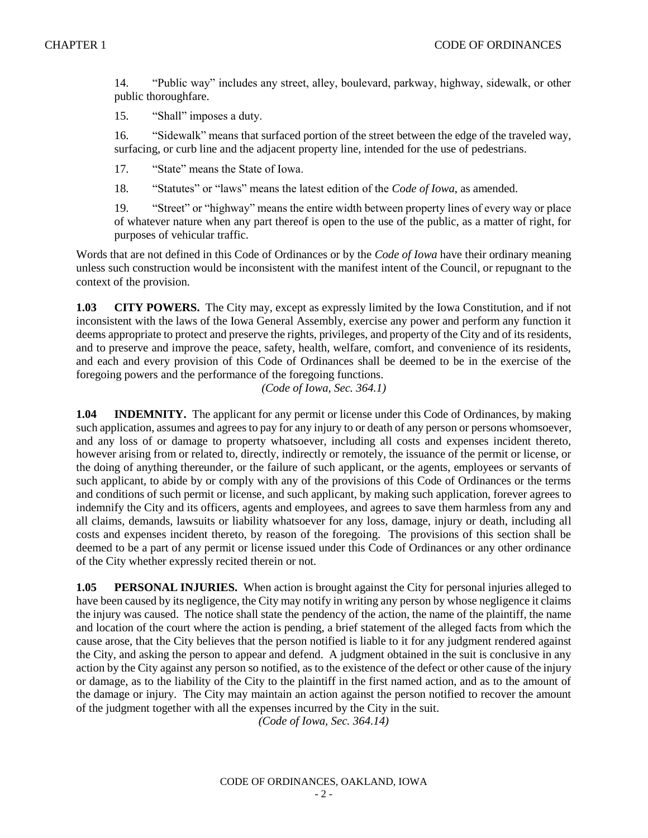14. "Public way" includes any street, alley, boulevard, parkway, highway, sidewalk, or other public thoroughfare.

15. "Shall" imposes a duty.

16. "Sidewalk" means that surfaced portion of the street between the edge of the traveled way, surfacing, or curb line and the adjacent property line, intended for the use of pedestrians.

17. "State" means the State of Iowa.

18. "Statutes" or "laws" means the latest edition of the *Code of Iowa*, as amended.

19. "Street" or "highway" means the entire width between property lines of every way or place of whatever nature when any part thereof is open to the use of the public, as a matter of right, for purposes of vehicular traffic.

Words that are not defined in this Code of Ordinances or by the *Code of Iowa* have their ordinary meaning unless such construction would be inconsistent with the manifest intent of the Council, or repugnant to the context of the provision.

**1.03 CITY POWERS.** The City may, except as expressly limited by the Iowa Constitution, and if not inconsistent with the laws of the Iowa General Assembly, exercise any power and perform any function it deems appropriate to protect and preserve the rights, privileges, and property of the City and of its residents, and to preserve and improve the peace, safety, health, welfare, comfort, and convenience of its residents, and each and every provision of this Code of Ordinances shall be deemed to be in the exercise of the foregoing powers and the performance of the foregoing functions.

*(Code of Iowa, Sec. 364.1)*

**1.04 INDEMNITY.** The applicant for any permit or license under this Code of Ordinances, by making such application, assumes and agrees to pay for any injury to or death of any person or persons whomsoever, and any loss of or damage to property whatsoever, including all costs and expenses incident thereto, however arising from or related to, directly, indirectly or remotely, the issuance of the permit or license, or the doing of anything thereunder, or the failure of such applicant, or the agents, employees or servants of such applicant, to abide by or comply with any of the provisions of this Code of Ordinances or the terms and conditions of such permit or license, and such applicant, by making such application, forever agrees to indemnify the City and its officers, agents and employees, and agrees to save them harmless from any and all claims, demands, lawsuits or liability whatsoever for any loss, damage, injury or death, including all costs and expenses incident thereto, by reason of the foregoing. The provisions of this section shall be deemed to be a part of any permit or license issued under this Code of Ordinances or any other ordinance of the City whether expressly recited therein or not.

**1.05 PERSONAL INJURIES.** When action is brought against the City for personal injuries alleged to have been caused by its negligence, the City may notify in writing any person by whose negligence it claims the injury was caused. The notice shall state the pendency of the action, the name of the plaintiff, the name and location of the court where the action is pending, a brief statement of the alleged facts from which the cause arose, that the City believes that the person notified is liable to it for any judgment rendered against the City, and asking the person to appear and defend. A judgment obtained in the suit is conclusive in any action by the City against any person so notified, as to the existence of the defect or other cause of the injury or damage, as to the liability of the City to the plaintiff in the first named action, and as to the amount of the damage or injury. The City may maintain an action against the person notified to recover the amount of the judgment together with all the expenses incurred by the City in the suit.

*(Code of Iowa, Sec. 364.14)*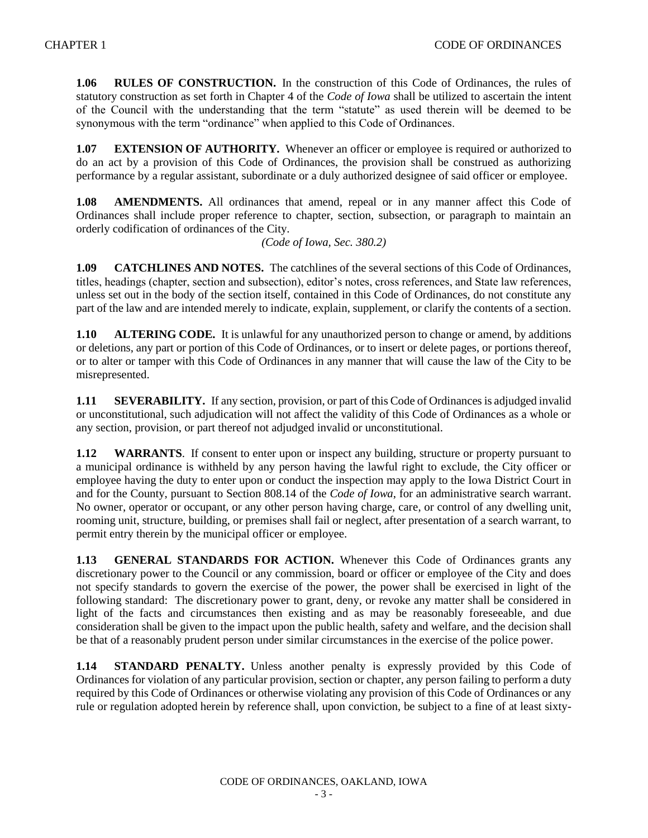**1.06 RULES OF CONSTRUCTION.** In the construction of this Code of Ordinances, the rules of statutory construction as set forth in Chapter 4 of the *Code of Iowa* shall be utilized to ascertain the intent of the Council with the understanding that the term "statute" as used therein will be deemed to be synonymous with the term "ordinance" when applied to this Code of Ordinances.

**1.07 EXTENSION OF AUTHORITY.** Whenever an officer or employee is required or authorized to do an act by a provision of this Code of Ordinances, the provision shall be construed as authorizing performance by a regular assistant, subordinate or a duly authorized designee of said officer or employee.

**1.08 AMENDMENTS.** All ordinances that amend, repeal or in any manner affect this Code of Ordinances shall include proper reference to chapter, section, subsection, or paragraph to maintain an orderly codification of ordinances of the City.

*(Code of Iowa, Sec. 380.2)*

**1.09 CATCHLINES AND NOTES.** The catchlines of the several sections of this Code of Ordinances, titles, headings (chapter, section and subsection), editor's notes, cross references, and State law references, unless set out in the body of the section itself, contained in this Code of Ordinances, do not constitute any part of the law and are intended merely to indicate, explain, supplement, or clarify the contents of a section.

**1.10 ALTERING CODE.** It is unlawful for any unauthorized person to change or amend, by additions or deletions, any part or portion of this Code of Ordinances, or to insert or delete pages, or portions thereof, or to alter or tamper with this Code of Ordinances in any manner that will cause the law of the City to be misrepresented.

**1.11 SEVERABILITY.** If any section, provision, or part of this Code of Ordinances is adjudged invalid or unconstitutional, such adjudication will not affect the validity of this Code of Ordinances as a whole or any section, provision, or part thereof not adjudged invalid or unconstitutional.

**1.12 WARRANTS**. If consent to enter upon or inspect any building, structure or property pursuant to a municipal ordinance is withheld by any person having the lawful right to exclude, the City officer or employee having the duty to enter upon or conduct the inspection may apply to the Iowa District Court in and for the County, pursuant to Section 808.14 of the *Code of Iowa*, for an administrative search warrant. No owner, operator or occupant, or any other person having charge, care, or control of any dwelling unit, rooming unit, structure, building, or premises shall fail or neglect, after presentation of a search warrant, to permit entry therein by the municipal officer or employee.

**1.13 GENERAL STANDARDS FOR ACTION.** Whenever this Code of Ordinances grants any discretionary power to the Council or any commission, board or officer or employee of the City and does not specify standards to govern the exercise of the power, the power shall be exercised in light of the following standard: The discretionary power to grant, deny, or revoke any matter shall be considered in light of the facts and circumstances then existing and as may be reasonably foreseeable, and due consideration shall be given to the impact upon the public health, safety and welfare, and the decision shall be that of a reasonably prudent person under similar circumstances in the exercise of the police power.

**1.14 STANDARD PENALTY.** Unless another penalty is expressly provided by this Code of Ordinances for violation of any particular provision, section or chapter, any person failing to perform a duty required by this Code of Ordinances or otherwise violating any provision of this Code of Ordinances or any rule or regulation adopted herein by reference shall, upon conviction, be subject to a fine of at least sixty-